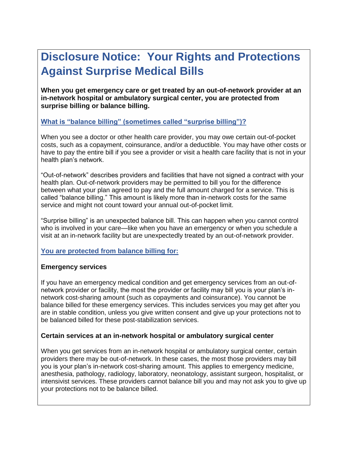# **Disclosure Notice: Your Rights and Protections Against Surprise Medical Bills**

**When you get emergency care or get treated by an out-of-network provider at an in-network hospital or ambulatory surgical center, you are protected from surprise billing or balance billing.**

# **What is "balance billing" (sometimes called "surprise billing")?**

When you see a doctor or other health care provider, you may owe certain out-of-pocket costs, such as a copayment, coinsurance, and/or a deductible. You may have other costs or have to pay the entire bill if you see a provider or visit a health care facility that is not in your health plan's network.

"Out-of-network" describes providers and facilities that have not signed a contract with your health plan. Out-of-network providers may be permitted to bill you for the difference between what your plan agreed to pay and the full amount charged for a service. This is called "balance billing." This amount is likely more than in-network costs for the same service and might not count toward your annual out-of-pocket limit.

"Surprise billing" is an unexpected balance bill. This can happen when you cannot control who is involved in your care—like when you have an emergency or when you schedule a visit at an in-network facility but are unexpectedly treated by an out-of-network provider.

# **You are protected from balance billing for:**

# **Emergency services**

If you have an emergency medical condition and get emergency services from an out-ofnetwork provider or facility, the most the provider or facility may bill you is your plan's innetwork cost-sharing amount (such as copayments and coinsurance). You cannot be balance billed for these emergency services. This includes services you may get after you are in stable condition, unless you give written consent and give up your protections not to be balanced billed for these post-stabilization services.

# **Certain services at an in-network hospital or ambulatory surgical center**

When you get services from an in-network hospital or ambulatory surgical center, certain providers there may be out-of-network. In these cases, the most those providers may bill you is your plan's in-network cost-sharing amount. This applies to emergency medicine, anesthesia, pathology, radiology, laboratory, neonatology, assistant surgeon, hospitalist, or intensivist services. These providers cannot balance bill you and may not ask you to give up your protections not to be balance billed.